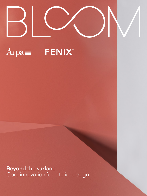

Beyond the surface Core innovation for interior design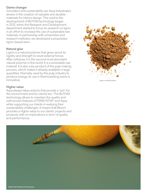### Game changer

Innovation and sustainability are Arpa Industriale's drivers in the creation of valuable and durable materials for interior design. The road to the development of BLCOM technology began in 2012, when the Research and Development department started to focus its research on lignin in an effort to increase the use of sustainable raw materials. In partnership with universities and research institutes, we developed a proprietary lignin-based resin.

### Natural glue

Lignin is a natural polymer that gives wood its rigidity and strength to resist external forces. After cellulose, it is the second most abundant natural polymer in the world. It is a renewable raw material. It is also a by-product of the pulp making process, which makes it already available in large quantities. Normally used by the pulp industry to produce energy, its use in thermosetting resins is innovative.

### Higher value

Arpa always takes actions that provide a "win" for the environment and for clients too. The BLOOM technology allows to maintain the quality and well-known features of FENIX NTM® and Arpa, while supporting our clients in realizing their sustainability challenges. It means that Bloom provides a higher value to our clients' projects and products with no implications in term of quality and performance.



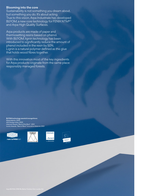### Blooming into the core

Sustainability is not something you dream about, but something you do. It's about acting. True to this vision, Arpa Industriale has developed BLCOM, a new core technology for FENIX NTM®® and Arpa High Quality Surfaces.

Arpa products are made of paper and thermosetting resins based on phenol. With BLCOM, lignin technology has been introduced to significantly reduce the amount of phenol included in the resin by 50%. Lignin is a natural polymer defined as the glue that holds wood fibres together.

With this innovation most of the key ingredients for Arpa products originate from the same place: responsibly managed forests.

**BL∽OM technology awards & recognitions:**<br>Materialpreis, 2020 ADI Design Index, 2020 Interzum Award, "Best of the Best" , 2021 Iconic Awards, "Best of Best" Innovative Material, 2021







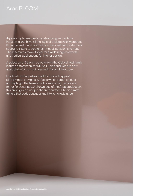# Arpa BL<sup>o</sup>OM

Arpa are high pressure laminates designed by Arpa Industriale and have all the style of a Made in Italy product. It is a material that is both easy to work with and extremely strong: resistant to scratches, impact, abrasion and heat. These features make it ideal for a wide range horizontal and vertical applications for interior design.

A selection of 36 plain colours from the Colorsintesi family in three different finishes (Erre, Lucida and Kér) are now available in 0.7 mm tickness with Bloom black core.

Erre finish distinguishes itself for its touch appeal: silky-smooth compact surfaces which soften colours and highlight the harmony of composition. Lucida is a mirror finish surface. A showpiece of the Arpa production, this finish gives a unique sheen to surfaces. Kér is a matt texture that adds sensuous tactility to its resistance.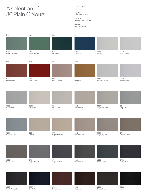## A selection of 36 Plain Colours

**Thickness (mm)** 0.7

**Type/Core** BLOOM Black Core

**Size (mm)** 3050x1300, 4200x1300

**Finishes** Erre**,** Lucida, Kèr





Grigio Antracite

0507 Blu Notte 0759 Rosso Purjai

0553 **Cioccolato**  0758

Cacao Nocorin



Nero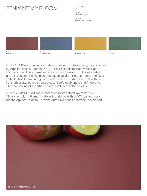# FENIX NTM® BLCOM

**Thickness (mm)** 0.7

**Type/Core** BLCOM Black Core

**Size (mm)** 3050x1300, 4200x1300







0773 Verde Brac

FENIX NTM® is an innovative material created for interior design applications by Arpa Industriale. Launched in 2013, it is suitable for both vertical and horizontal use. The external surface involves the use of multilayer coating and it is characterized by next generation acrylic resins, hardened and fixed with Electron Beam curing process. Its surface is extremely matt, with low light reflectivity, features a very pleasant soft touch and is anti-fingerprint. Thermal healing of superficial micro-scratches is also possible.

FENIX NTM® BLCOM, more innovative, more natural raw materials. The extremely matt smart material is enriched with BLCOM, a new core technology, for which four new colours have been specifically developed.

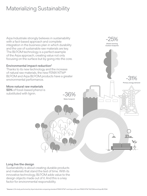# Materializing Sustainability

Arpa Industriale strongly believes in sustainability with a fact-based approach and complete integration in the business plan in which durability and the use of sustainable raw materials are key. The BL<sup>o</sup>OM technology is a perfect example of the Arpa approach, creating value not only focusing on the surface but by going into the core.

### Environmental impact reduction\*

Thanks to its new technology and the increase of natural raw materials, the new FENIX NTM® BLCOM and Arpa BLCOM products have a greater environmental performance.

### More natural raw materials

50% of fossil-based phenol is substituted with lignin.

-31% Primary energy demand -36% Water footprint

-25% Global warming (Carbon footprint)

### Long live the design

Sustainability is about creating durable products and materials that stand the test of time. With its innovative technology, BLCOM adds value to the design objects made out of it. And this is a key factor for environmental responsibility.